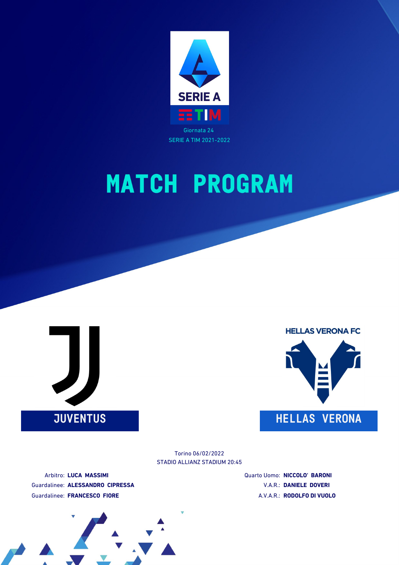





STADIO ALLIANZ STADIUM 20:45 Torino 06/02/2022

Arbitro: **LUCA MASSIMI** Guardalinee: **ALESSANDRO CIPRESSA** Guardalinee: **FRANCESCO FIORE**

Quarto Uomo: **NICCOLO' BARONI** V.A.R.: **DANIELE DOVERI** A.V.A.R.: **RODOLFO DI VUOLO**

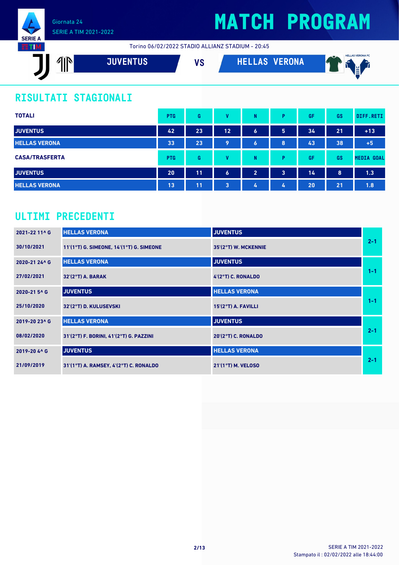

# **MATCH PROGRAM**

Torino 06/02/2022 STADIO ALLIANZ STADIUM - 20:45

| <b>VERONA</b><br><b>JUVENTUS</b><br>- 1<br>17 M<br><u>III</u><br>I e | $\rightarrow$<br>. . |
|----------------------------------------------------------------------|----------------------|
|----------------------------------------------------------------------|----------------------|

### **RISULTATI STAGIONALI**

| <b>TOTALI</b>         | <b>PTG</b> | G  | v  | N                | Þ                       | GF | GS | DIFF.RETI         |
|-----------------------|------------|----|----|------------------|-------------------------|----|----|-------------------|
| <b>JUVENTUS</b>       | 42         | 23 | 12 | $\boldsymbol{6}$ | 5                       | 34 | 21 | $+13$             |
| <b>HELLAS VERONA</b>  | 33         | 23 | 9  | $\bullet$        | 8                       | 43 | 38 | $+5$              |
| <b>CASA/TRASFERTA</b> | <b>PTG</b> | G  | v  | N                | D                       | GF | GS | <b>MEDIA GOAL</b> |
| <b>JUVENTUS</b>       | 20         | 11 | 6  | $\overline{2}$   | $\overline{\mathbf{3}}$ | 14 | 8  | 1.3               |
| <b>HELLAS VERONA</b>  | 13         | 11 | 3  | 4                | 4                       | 20 | 21 | 1.8               |

### **ULTIMI PRECEDENTI**

| 2021-22 11^ G | <b>HELLAS VERONA</b>                       | <b>JUVENTUS</b>            |         |
|---------------|--------------------------------------------|----------------------------|---------|
| 30/10/2021    | 11'(1°T) G. SIMEONE, 14'(1°T) G. SIMEONE   | 35'(2°T) W. MCKENNIE       | $2 - 1$ |
| 2020-21 24^ G | <b>HELLAS VERONA</b>                       | <b>JUVENTUS</b>            |         |
| 27/02/2021    | 32'(2°T) A. BARAK                          | 4'(2°T) C. RONALDO         | $1 - 1$ |
| 2020-21 5^ G  | <b>JUVENTUS</b>                            | <b>HELLAS VERONA</b>       |         |
| 25/10/2020    | 32'(2°T) D. KULUSEVSKI                     | 15'(2°T) A. FAVILLI        | $1 - 1$ |
| 2019-20 23^ G | <b>HELLAS VERONA</b>                       | <b>JUVENTUS</b>            |         |
| 08/02/2020    | 31'(2°T) F. BORINI, 41'(2°T) G. PAZZINI    | <b>20'(2°T) C. RONALDO</b> | $2 - 1$ |
| 2019-20 4^ G  | <b>JUVENTUS</b>                            | <b>HELLAS VERONA</b>       |         |
| 21/09/2019    | $31'(1°T)$ A. RAMSEY, $4'(2°T)$ C. RONALDO | $21'(1°T)$ M. VELOSO       | $2 - 1$ |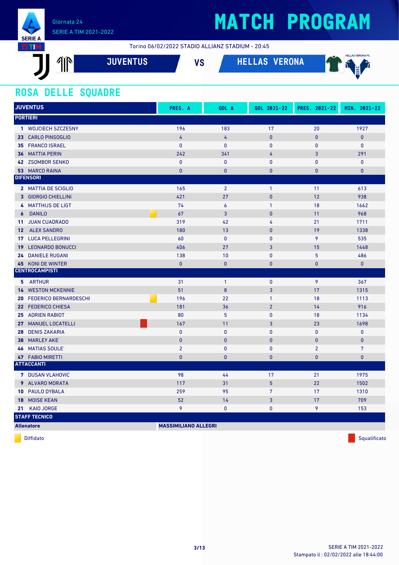

Torino 06/02/2022 STADIO ALLIANZ STADIUM - 20:45

| AYN.<br>HN.<br>ИI<br>Ш | <b>JUVENTUS</b> ' | 110<br>e | RONA<br>v. | <b>HELLAS VERONA FC</b><br>$\overline{\phantom{a}}$<br>- IX<br>8. Z I<br>$\overline{\phantom{a}}$ |
|------------------------|-------------------|----------|------------|---------------------------------------------------------------------------------------------------|
|                        |                   |          |            |                                                                                                   |

### **ROSA DELLE SQUADRE**

| <b>JUVENTUS</b>                    | PRES. A                     | GOL A            | GOL 2021-22    | PRES. 2021-22  | MIN. 2021-22    |
|------------------------------------|-----------------------------|------------------|----------------|----------------|-----------------|
| <b>PORTIERI</b>                    |                             |                  |                |                |                 |
| 1 WOJCIECH SZCZESNY                | 196                         | 183              | 17             | 20             | 1927            |
| 23 CARLO PINSOGLIO                 | 4                           | 4                | $\mathbf{0}$   | $\overline{0}$ | $\pmb{0}$       |
| 35 FRANCO ISRAEL                   | $\mathbf{0}$                | $\pmb{0}$        | $\pmb{0}$      | 0              | $\pmb{0}$       |
| <b>MATTIA PERIN</b><br>36          | 242                         | 341              | 4              | 3              | 291             |
| 42 ZSOMBOR SENKO                   | $\mathbf{0}$                | $\mathbf{0}$     | $\mathbf{0}$   | 0              | $\mathbf{0}$    |
| 53 MARCO RAINA                     | $\bf{0}$                    | $\pmb{0}$        | $\pmb{0}$      | $\bf{0}$       | $\pmb{0}$       |
| <b>DIFENSORI</b>                   |                             |                  |                |                |                 |
| 2 MATTIA DE SCIGLIO                | 165                         | $\overline{2}$   | $\mathbf{1}$   | 11             | 613             |
| 3 GIORGIO CHIELLINI                | 421                         | 27               | $\mathbf{0}$   | 12             | 938             |
| 4 MATTHIJS DE LIGT                 | 74                          | $\boldsymbol{6}$ | $\mathbf{1}$   | 18             | 1662            |
| <b>DANILO</b><br>6                 | 67                          | 3                | $\pmb{0}$      | 11             | 968             |
| <b>JUAN CUADRADO</b><br>11         | 319                         | 42               | 4              | 21             | 1711            |
| <b>ALEX SANDRO</b><br>$12-12$      | 180                         | 13               | $\mathbf{0}$   | 19             | 1338            |
| 17 LUCA PELLEGRINI                 | 60                          | $\mathbf 0$      | $\pmb{0}$      | 9              | 535             |
| <b>LEONARDO BONUCCI</b><br>19      | 406                         | 27               | 3              | 15             | 1448            |
| <b>DANIELE RUGANI</b><br>24        | 138                         | 10               | $\pmb{0}$      | 5              | 486             |
| KONI DE WINTER<br>45               | $\bf{0}$                    | $\mathbf{0}$     | $\bf{0}$       | $\bf{0}$       | $\mathbf{0}$    |
| <b>CENTROCAMPISTI</b>              |                             |                  |                |                |                 |
| 5 ARTHUR                           | 31                          | $\mathbf{1}$     | $\pmb{0}$      | 9              | 367             |
| <b>14 WESTON MCKENNIE</b>          | 51                          | $\bf 8$          | 3              | 17             | 1315            |
| <b>FEDERICO BERNARDESCHI</b><br>20 | 196                         | 22               | $\mathbf{1}$   | 18             | 1113            |
| 22 FEDERICO CHIESA                 | 181                         | 36               | $\overline{2}$ | 14             | 916             |
| <b>ADRIEN RABIOT</b><br>25         | 80                          | $5\phantom{.0}$  | $\pmb{0}$      | 18             | 1134            |
| <b>MANUEL LOCATELLI</b><br>27      | 167                         | 11               | 3              | 23             | 1698            |
| <b>DENIS ZAKARIA</b><br>28         | 0                           | $\pmb{0}$        | 0              | $\overline{0}$ | 0               |
| <b>MARLEY AKE'</b><br>38           | $\pmb{0}$                   | $\pmb{0}$        | $\pmb{0}$      | $\pmb{0}$      | $\pmb{0}$       |
| <b>MATIAS SOULE'</b><br>46         | $\overline{2}$              | $\mathbf{0}$     | $\mathbf{0}$   | $\overline{2}$ | $7\overline{ }$ |
| <b>47 FABIO MIRETTI</b>            | $\bf{0}$                    | $\mathbf{0}$     | $\mathbf 0$    | 0              | $\mathbf 0$     |
| <b>ATTACCANTI</b>                  |                             |                  |                |                |                 |
| 7 DUSAN VLAHOVIC                   | 98                          | 44               | 17             | 21             | 1975            |
| 9 ALVARO MORATA                    | 117                         | 31               | $\overline{5}$ | 22             | 1502            |
| 10 PAULO DYBALA                    | 259                         | 95               | $\overline{7}$ | 17             | 1310            |
| <b>MOISE KEAN</b><br>18            | 52                          | 14               | 3              | 17             | 709             |
| <b>KAIO JORGE</b><br>21            | 9                           | $\pmb{0}$        | 0              | 9              | 153             |
| <b>STAFF TECNICO</b>               |                             |                  |                |                |                 |
| <b>Allenatore</b>                  | <b>MASSIMILIANO ALLEGRI</b> |                  |                |                |                 |

diffidato de la contradicción de la contradicción de la contradicción de la contradicción de la contradicción de Squalificato de la contradicción de la contradicción de la contradicción de la contradicción de la contradicc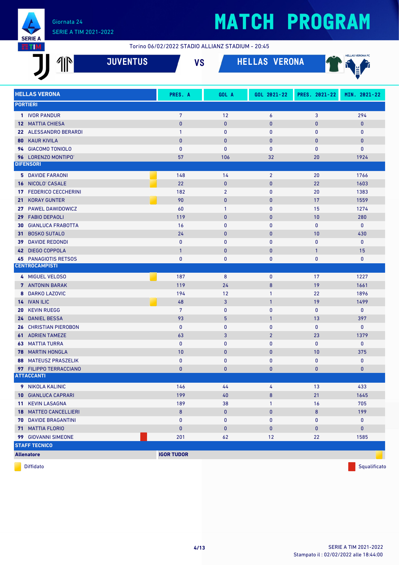

#### Torino 06/02/2022 STADIO ALLIANZ STADIUM - 20:45

|                      | 4ĬN<br><b>JUVENTUS</b>                            | <b>VS</b>          |                     | <b>HELLAS VERONA</b> |                           | <b>HELLAS VERONA FC</b> |
|----------------------|---------------------------------------------------|--------------------|---------------------|----------------------|---------------------------|-------------------------|
|                      | <b>HELLAS VERONA</b>                              | PRES. A            | GOL A               | GOL 2021-22          | PRES. 2021-22             | MIN. 2021-22            |
| <b>PORTIERI</b>      |                                                   |                    |                     |                      |                           |                         |
|                      | 1 IVOR PANDUR                                     | $7\overline{ }$    | 12                  | 6                    | 3                         | 294                     |
|                      | <b>12 MATTIA CHIESA</b>                           | $\mathbf 0$        | $\mathbf{0}$        | 0                    | $\mathbf{0}$              | $\mathbf{0}$            |
|                      | 22 ALESSANDRO BERARDI                             | $\mathbf{1}$       | $\mathbf{0}$        | 0                    | $\mathbf{0}$              | $\mathbf 0$             |
|                      | <b>80 KAUR KIVILA</b>                             | $\mathbf{0}$       | $\mathbf 0$         | 0                    | $\mathbf{0}$              | $\mathbf{0}$            |
|                      | 94 GIACOMO TONIOLO<br>96 LORENZO MONTIPO'         | $\mathbf{0}$<br>57 | $\mathbf{0}$<br>106 | 0<br>32              | $\mathbf{0}$<br>20        | $\pmb{0}$<br>1924       |
| <b>DIFENSORI</b>     |                                                   |                    |                     |                      |                           |                         |
|                      | <b>5 DAVIDE FARAONI</b>                           | 148                | 14                  | $\overline{2}$       | 20                        | 1766                    |
|                      | 16 NICOLO' CASALE                                 | 22                 | $\mathbf{0}$        | 0                    | 22                        | 1603                    |
| 17                   | <b>FEDERICO CECCHERINI</b>                        | 182                | $\overline{2}$      | 0                    | 20                        | 1383                    |
|                      | 21 KORAY GUNTER                                   | 90                 | $\mathbf{0}$        | 0                    | 17                        | 1559                    |
|                      | 27 PAWEL DAWIDOWICZ                               | 60                 | $\mathbf{1}$        | 0                    | 15                        | 1274                    |
| 29                   | <b>FABIO DEPAOLI</b>                              | 119                | $\mathbf 0$         | 0                    | 10                        | 280                     |
|                      | <b>30 GIANLUCA FRABOTTA</b>                       | 16                 | 0                   | 0                    | $\bf{0}$                  | $\mathbf{0}$            |
|                      | 31 BOSKO SUTALO                                   | 24                 | $\mathbf 0$         | $\mathbf{0}$         | 10                        | 430                     |
|                      | <b>39 DAVIDE REDONDI</b>                          | 0<br>$\mathbf{1}$  | 0<br>$\mathbf 0$    | $\pmb{0}$<br>0       | $\pmb{0}$<br>$\mathbf{1}$ | $\mathbf{0}$<br>15      |
|                      | 42 DIEGO COPPOLA<br><b>45 PANAGIOTIS RETSOS</b>   | $\mathbf{0}$       | $\mathbf 0$         | 0                    | $\mathbf{0}$              | $\mathbf{0}$            |
|                      | <b>CENTROCAMPISTI</b>                             |                    |                     |                      |                           |                         |
|                      | 4 MIGUEL VELOSO                                   | 187                | 8                   | 0                    | 17                        | 1227                    |
|                      | <b>7</b> ANTONIN BARAK                            | 119                | 24                  | 8                    | 19                        | 1661                    |
|                      | 8 DARKO LAZOVIC                                   | 194                | 12                  | $\mathbf{1}$         | 22                        | 1896                    |
| 14 IVAN ILIC         |                                                   | 48                 | 3                   | $\mathbf{1}$         | 19                        | 1499                    |
| 20                   | <b>KEVIN RUEGG</b>                                | 7                  | 0                   | 0                    | $\mathbf{0}$              | $\mathbf 0$             |
|                      | <b>24 DANIEL BESSA</b>                            | 93                 | 5                   | $\mathbf{1}$         | 13                        | 397                     |
|                      | <b>26 CHRISTIAN PIEROBON</b>                      | $\mathbf{0}$       | 0                   | 0                    | $\bf{0}$                  | $\mathbf 0$             |
|                      | <b>61 ADRIEN TAMEZE</b>                           | 63                 | 3                   | $\overline{2}$       | 23                        | 1379                    |
|                      | <b>63 MATTIA TURRA</b><br><b>78 MARTIN HONGLA</b> | $\mathbf{0}$<br>10 | 0<br>$\mathbf{0}$   | 0<br>0               | $\pmb{0}$<br>10           | $\mathbf 0$<br>375      |
|                      | <b>88 MATEUSZ PRASZELIK</b>                       | 0                  | 0                   | 0                    | 0                         | $\mathbf 0$             |
|                      | 97 FILIPPO TERRACCIANO                            | $\mathbf{0}$       | $\bf{0}$            | 0                    | $\pmb{0}$                 | $\pmb{0}$               |
| <b>ATTACCANTI</b>    |                                                   |                    |                     |                      |                           |                         |
|                      | 9 NIKOLA KALINIC                                  | 146                | 44                  | 4                    | 13                        | 433                     |
|                      | <b>10 GIANLUCA CAPRARI</b>                        | 199                | 40                  | 8                    | 21                        | 1645                    |
|                      | <b>11 KEVIN LASAGNA</b>                           | 189                | 38                  | 1                    | 16                        | 705                     |
|                      | <b>18 MATTEO CANCELLIERI</b>                      | $\bf 8$            | $\bf{0}$            | 0                    | $\bf 8$                   | 199                     |
|                      | <b>70 DAVIDE BRAGANTINI</b>                       | 0                  | 0                   | 0                    | 0                         | 0                       |
|                      | <b>71 MATTIA FLORIO</b>                           | $\pmb{0}$          | $\bf{0}$            | 0                    | $\pmb{0}$                 | $\pmb{0}$               |
|                      | 99 GIOVANNI SIMEONE                               | 201                | 62                  | 12                   | 22                        | 1585                    |
| <b>STAFF TECNICO</b> |                                                   |                    |                     |                      |                           |                         |
| <b>Allenatore</b>    |                                                   | <b>IGOR TUDOR</b>  |                     |                      |                           |                         |

diffidato de la contradicción de la contradicción de la contradicción de la contradicción de la contradicción de Squalificato de la contradicción de la contradicción de la contradicción de la contradicción de la contradicc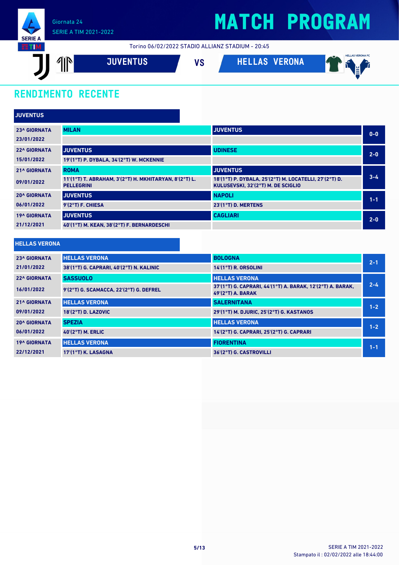

## **MATCH PROGRAM**

Torino 06/02/2022 STADIO ALLIANZ STADIUM - 20:45



### **RENDIMENTO RECENTE**

| <b>JUVENTUS</b>     |                                                                             |                                                                                              |         |
|---------------------|-----------------------------------------------------------------------------|----------------------------------------------------------------------------------------------|---------|
| <b>23^ GIORNATA</b> | <b>MILAN</b>                                                                | <b>JUVENTUS</b>                                                                              | $0 - 0$ |
| 23/01/2022          |                                                                             |                                                                                              |         |
| <b>22^ GIORNATA</b> | <b>JUVENTUS</b>                                                             | <b>UDINESE</b>                                                                               | $2-0$   |
| 15/01/2022          | 19'(1°T) P. DYBALA, 34'(2°T) W. MCKENNIE                                    |                                                                                              |         |
| <b>21^ GIORNATA</b> | <b>ROMA</b>                                                                 | <b>JUVENTUS</b>                                                                              |         |
| 09/01/2022          | 11'(1°T) T. ABRAHAM, 3'(2°T) H. MKHITARYAN, 8'(2°T) L.<br><b>PELLEGRINI</b> | 18'(1°T) P. DYBALA, 25'(2°T) M. LOCATELLI, 27'(2°T) D.<br>KULUSEVSKI, 32'(2°T) M. DE SCIGLIO | $3 - 4$ |
| <b>20^ GIORNATA</b> | <b>JUVENTUS</b>                                                             | <b>NAPOLI</b>                                                                                | $1 - 1$ |
| 06/01/2022          | 9'(2°T) F. CHIESA                                                           | 23'(1°T) D. MERTENS                                                                          |         |
| <b>19^ GIORNATA</b> | <b>JUVENTUS</b>                                                             | <b>CAGLIARI</b>                                                                              | $2 - 0$ |
| 21/12/2021          | 40'(1°T) M. KEAN, 38'(2°T) F. BERNARDESCHI                                  |                                                                                              |         |

#### **HELLAS VERONA**

| <b>23^ GIORNATA</b> | <b>HELLAS VERONA</b>                     | <b>BOLOGNA</b>                                                                    | $2 - 1$ |
|---------------------|------------------------------------------|-----------------------------------------------------------------------------------|---------|
| 21/01/2022          | 38'(1°T) G. CAPRARI, 40'(2°T) N. KALINIC | $14'(1°T)$ R. ORSOLINI                                                            |         |
| <b>22^ GIORNATA</b> | <b>SASSUOLO</b>                          | <b>HELLAS VERONA</b>                                                              |         |
| 16/01/2022          | 9'(2°T) G. SCAMACCA. 22'(2°T) G. DEFREL  | 37'(1°T) G. CAPRARI, 44'(1°T) A. BARAK, 12'(2°T) A. BARAK,<br>$49'(2°T)$ A. BARAK | $2 - 4$ |
| <b>21^ GIORNATA</b> | <b>HELLAS VERONA</b>                     | <b>SALERNITANA</b>                                                                | $1 - 2$ |
| 09/01/2022          | <b>18'(2°T) D. LAZOVIC</b>               | 29'(1°T) M. DJURIC. 25'(2°T) G. KASTANOS                                          |         |
| <b>20^ GIORNATA</b> | <b>SPEZIA</b>                            | <b>HELLAS VERONA</b>                                                              | $1 - 2$ |
| 06/01/2022          | <b>40'(2°T) M. ERLIC</b>                 | 14'(2°T) G. CAPRARI. 25'(2°T) G. CAPRARI                                          |         |
| <b>19^ GIORNATA</b> | <b>HELLAS VERONA</b>                     | <b>FIORENTINA</b>                                                                 | $1 - 1$ |
| 22/12/2021          | 17'(1°T) K. LASAGNA                      | 36'(2°T) G. CASTROVILLI                                                           |         |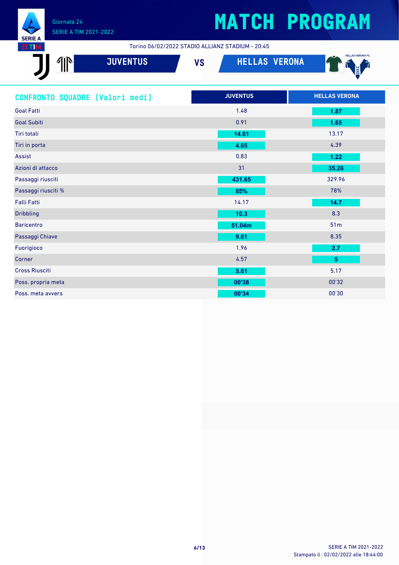

### SERIE A TIM 2021-2022

# **MATCH PROGRAM**

Torino 06/02/2022 STADIO ALLIANZ STADIUM - 20:45

| $\mathbb{I}^{\mathbb{N}}$<br><b>JUVENTUS</b> | <b>HELLAS VERONA</b><br><b>VS</b> | <b>HELLAS VERONA FC</b> |
|----------------------------------------------|-----------------------------------|-------------------------|
| CONFRONTO SQUADRE [Valori medi]              | <b>JUVENTUS</b>                   | <b>HELLAS VERONA</b>    |
| <b>Goal Fatti</b>                            | 1.48                              | 1.87                    |
| <b>Goal Subiti</b>                           | 0.91                              | 1.65                    |
| <b>Tiri totali</b>                           | 14.61                             | 13.17                   |
| Tiri in porta                                | 4.65                              | 4.39                    |
| <b>Assist</b>                                | 0.83                              | 1.22                    |
| Azioni di attacco                            | 31                                | 35.26                   |
| Passaggi riusciti                            | 431.65                            | 329.96                  |
| Passaggi riusciti %                          | 85%                               | 78%                     |
| <b>Falli Fatti</b>                           | 14.17                             | 14.7                    |
| <b>Dribbling</b>                             | 10.3                              | 8.3                     |
| <b>Baricentro</b>                            | 51.04m                            | 51 <sub>m</sub>         |
| Passaggi Chiave                              | 9.61                              | 8.35                    |
| Fuorigioco                                   | 1.96                              | 2.7                     |
| Corner                                       | 4.57                              | $5\phantom{a}$          |
| <b>Cross Riusciti</b>                        | 5.61                              | 5.17                    |
| Poss. propria meta                           | 00'38                             | 00'32                   |
| Poss. meta avvers                            | 00'34                             | 00'30                   |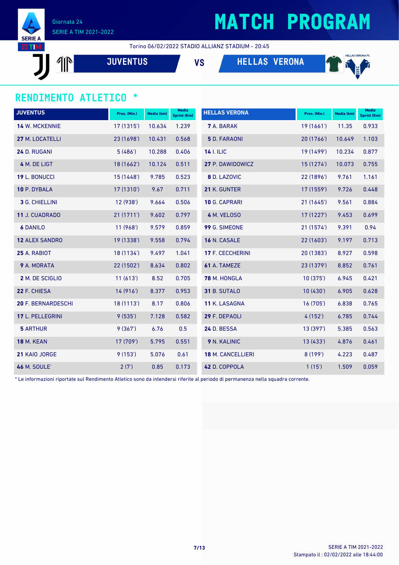

## **MATCH PROGRAM**

Torino 06/02/2022 STADIO ALLIANZ STADIUM - 20:45

 $\mathbb{P}$ 

**JUVENTUS VS HELLAS VERONA**



#### **RENDIMENTO ATLETICO \***

| <b>JUVENTUS</b>           | Pres. (Min.) | Media (km) | <b>Media</b><br>Sprint (Km) | <b>HELLAS VERONA</b>     | Pres. (Min.) | Media (km) | <b>Media</b><br>Sprint (Km) |
|---------------------------|--------------|------------|-----------------------------|--------------------------|--------------|------------|-----------------------------|
| 14 W. MCKENNIE            | 17 (1315')   | 10.634     | 1.239                       | <b>7</b> A. BARAK        | 19(1661)     | 11.35      | 0.933                       |
| 27 M. LOCATELLI           | 23 (1698')   | 10.431     | 0.568                       | <b>5</b> D. FARAONI      | 20 (1766')   | 10.649     | 1.103                       |
| 24 D. RUGANI              | 5(486)       | 10.288     | 0.406                       | <b>14 I. ILIC</b>        | 19 (1499')   | 10.234     | 0.877                       |
| 4 M. DE LIGT              | 18 (1662')   | 10.124     | 0.511                       | 27 P. DAWIDOWICZ         | 15(1274)     | 10.073     | 0.755                       |
| 19 L. BONUCCI             | 15(1448)     | 9.785      | 0.523                       | 8 D. LAZOVIC             | 22 (1896')   | 9.761      | 1.161                       |
| 10 P. DYBALA              | 17 (1310')   | 9.67       | 0.711                       | 21 K. GUNTER             | 17 (1559')   | 9.726      | 0.448                       |
| 3 G. CHIELLINI            | 12(938)      | 9.664      | 0.506                       | 10 G. CAPRARI            | 21 (1645')   | 9.561      | 0.884                       |
| <b>11 J. CUADRADO</b>     | 21(1711)     | 9.602      | 0.797                       | 4 M. VELOSO              | 17(1227)     | 9.453      | 0.699                       |
| <b>6 DANILO</b>           | 11(968)      | 9.579      | 0.859                       | 99 G. SIMEONE            | 21 (1574')   | 9.391      | 0.94                        |
| <b>12 ALEX SANDRO</b>     | 19 (1338')   | 9.558      | 0.794                       | 16 N. CASALE             | 22(1603)     | 9.197      | 0.713                       |
| 25 A. RABIOT              | 18 (1134')   | 9.497      | 1.041                       | 17 F. CECCHERINI         | 20 (1383')   | 8.927      | 0.598                       |
| 9 A. MORATA               | 22 (1502')   | 8.634      | 0.802                       | 61 A. TAMEZE             | 23 (1379')   | 8.852      | 0.761                       |
| 2 M. DE SCIGLIO           | 11(613)      | 8.52       | 0.705                       | 78 M. HONGLA             | 10(375)      | 6.945      | 0.421                       |
| 22 F. CHIESA              | 14(916)      | 8.377      | 0.953                       | 31 B. SUTALO             | 10(430)      | 6.905      | 0.628                       |
| <b>20 F. BERNARDESCHI</b> | 18(1113)     | 8.17       | 0.806                       | 11 K. LASAGNA            | 16(705)      | 6.838      | 0.765                       |
| 17 L. PELLEGRINI          | 9(535)       | 7.128      | 0.582                       | 29 F. DEPAOLI            | 4(152)       | 6.785      | 0.744                       |
| <b>5 ARTHUR</b>           | 9(367)       | 6.76       | 0.5                         | 24 D. BESSA              | 13 (397')    | 5.385      | 0.563                       |
| <b>18 M. KEAN</b>         | 17 (709')    | 5.795      | 0.551                       | 9 N. KALINIC             | 13 (433')    | 4.876      | 0.461                       |
| 21 KAIO JORGE             | 9(153)       | 5.076      | 0.61                        | <b>18 M. CANCELLIERI</b> | 8(199)       | 4.223      | 0.487                       |
| <b>46 M. SOULE'</b>       | 2(7)         | 0.85       | 0.173                       | 42 D. COPPOLA            | 1(15)        | 1.509      | 0.059                       |

\* Le informazioni riportate sul Rendimento Atletico sono da intendersi riferite al periodo di permanenza nella squadra corrente.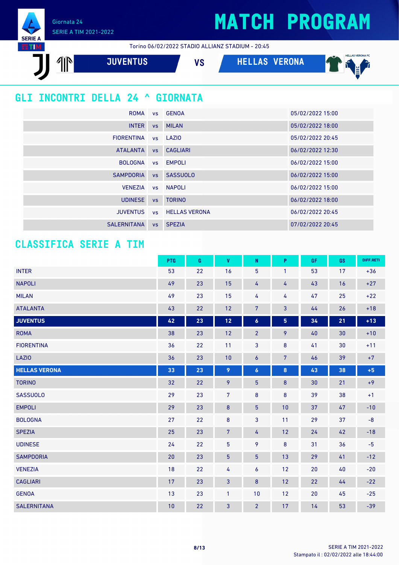Giornata 24 SERIE A TIM 2021-2022

**SERIE A** ETIM





#### **CLASSIFICA SERIE A TIM**

|                      | <b>PTG</b> | G  | V              | N                | P                       | GF | GS | DIFF.RETI         |
|----------------------|------------|----|----------------|------------------|-------------------------|----|----|-------------------|
| <b>INTER</b>         | 53         | 22 | 16             | 5                | $\mathbf{1}$            | 53 | 17 | $+36$             |
| <b>NAPOLI</b>        | 49         | 23 | 15             | 4                | 4                       | 43 | 16 | $+27$             |
| <b>MILAN</b>         | 49         | 23 | 15             | 4                | 4                       | 47 | 25 | $+22$             |
| <b>ATALANTA</b>      | 43         | 22 | 12             | 7                | 3                       | 44 | 26 | $+18$             |
| <b>JUVENTUS</b>      | 42         | 23 | $12$           | $\boldsymbol{6}$ | $\overline{\mathbf{5}}$ | 34 | 21 | $+13$             |
| <b>ROMA</b>          | 38         | 23 | 12             | $\overline{2}$   | 9                       | 40 | 30 | $+10$             |
| <b>FIORENTINA</b>    | 36         | 22 | 11             | 3                | $\bf 8$                 | 41 | 30 | $+11$             |
| LAZIO                | 36         | 23 | 10             | 6                | $\overline{7}$          | 46 | 39 | $+7$              |
| <b>HELLAS VERONA</b> | 33         | 23 | 9              | $\boldsymbol{6}$ | 8                       | 43 | 38 | $+5$              |
| <b>TORINO</b>        | 32         | 22 | 9              | 5                | $\bf 8$                 | 30 | 21 | $+9$              |
| <b>SASSUOLO</b>      | 29         | 23 | $\overline{7}$ | 8                | $\bf 8$                 | 39 | 38 | $+1$              |
| <b>EMPOLI</b>        | 29         | 23 | $\bf 8$        | $\overline{5}$   | 10                      | 37 | 47 | $-10$             |
| <b>BOLOGNA</b>       | 27         | 22 | $\bf 8$        | 3                | 11                      | 29 | 37 | $\textnormal{-}8$ |
| <b>SPEZIA</b>        | 25         | 23 | $\overline{7}$ | 4                | 12                      | 24 | 42 | $-18$             |
| <b>UDINESE</b>       | 24         | 22 | 5              | 9                | $\bf 8$                 | 31 | 36 | $-5$              |
| <b>SAMPDORIA</b>     | 20         | 23 | $\overline{5}$ | $\overline{5}$   | 13                      | 29 | 41 | $-12$             |
| <b>VENEZIA</b>       | 18         | 22 | 4              | 6                | 12                      | 20 | 40 | $-20$             |
| <b>CAGLIARI</b>      | 17         | 23 | 3              | 8                | 12                      | 22 | 44 | $-22$             |
| <b>GENOA</b>         | 13         | 23 | $\mathbf{1}$   | 10               | 12                      | 20 | 45 | $-25$             |
| <b>SALERNITANA</b>   | 10         | 22 | 3              | $\overline{2}$   | 17                      | 14 | 53 | $-39$             |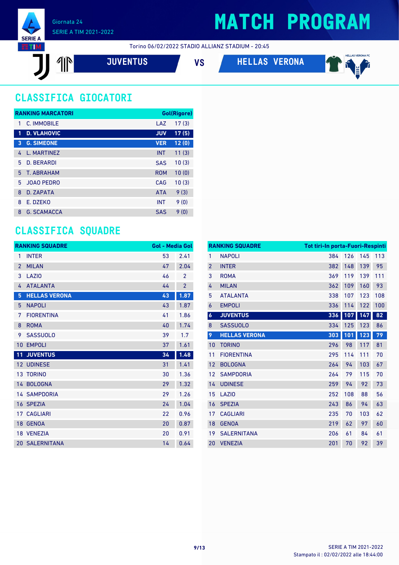

Torino 06/02/2022 STADIO ALLIANZ STADIUM - 20:45

$$
\textbf{J} \textbf{I} \textbf{I}
$$

**JUVENTUS VS HELLAS VERONA**



### **CLASSIFICA GIOCATORI**

|              | <b>RANKING MARCATORI</b> |            | Gol(Rigore) |
|--------------|--------------------------|------------|-------------|
| 1            | C. IMMOBILE              | LAZ        | 17(3)       |
| $\mathbf{1}$ | <b>D. VLAHOVIC</b>       | <b>JUV</b> | 17(5)       |
| 3            | <b>G. SIMEONE</b>        | <b>VER</b> | 12(0)       |
| 4            | L. MARTINEZ              | <b>INT</b> | 11(3)       |
| 5            | D. BERARDI               | <b>SAS</b> | 10(3)       |
| 5.           | T. ABRAHAM               | <b>ROM</b> | 10(0)       |
| 5.           | <b>JOAO PEDRO</b>        | CAG        | 10(3)       |
| 8            | D. ZAPATA                | <b>ATA</b> | 9(3)        |
| 8            | E. DZEKO                 | <b>INT</b> | 9(0)        |
| 8            | <b>G. SCAMACCA</b>       | <b>SAS</b> | 9(0)        |

#### **CLASSIFICA SQUADRE**

|                 | <b>RANKING SQUADRE</b> | <b>Gol - Media Gol</b> |                |
|-----------------|------------------------|------------------------|----------------|
| 1               | <b>INTER</b>           | 53                     | 2.41           |
| $\overline{2}$  | <b>MILAN</b>           | 47                     | 2.04           |
| 3               | LAZI <sub>0</sub>      | 46                     | $\overline{2}$ |
| 4               | <b>ATALANTA</b>        | 44                     | $\overline{2}$ |
| 5               | <b>HELLAS VERONA</b>   | 43                     | 1.87           |
| 5               | <b>NAPOLI</b>          | 43                     | 1.87           |
| 7               | <b>FIORENTINA</b>      | 41                     | 1.86           |
| 8               | <b>ROMA</b>            | 40                     | 1.74           |
| 9               | <b>SASSUOLO</b>        | 39                     | 1.7            |
| 10              | <b>EMPOLI</b>          | 37                     | 1.61           |
| 11              | <b>JUVENTUS</b>        | 34                     | 1.48           |
|                 | <b>12 UDINESE</b>      | 31                     | 1.41           |
| 13 <sup>°</sup> | <b>TORINO</b>          | 30                     | 1.36           |
|                 | 14 BOLOGNA             | 29                     | 1.32           |
|                 | <b>14 SAMPDORIA</b>    | 29                     | 1.26           |
|                 | 16 SPEZIA              | 24                     | 1.04           |
|                 | <b>17 CAGLIARI</b>     | 22                     | 0.96           |
| 18 <sup>°</sup> | <b>GENOA</b>           | 20                     | 0.87           |
|                 | 18 VENEZIA             | 20                     | 0.91           |
|                 | <b>20 SALERNITANA</b>  | 14                     | 0.64           |

|                  | <b>RANKING SQUADRE</b> | <b>Tot tiri-In porta-Fuori-Respinti</b> |     |     |     |
|------------------|------------------------|-----------------------------------------|-----|-----|-----|
| $\mathbf{1}$     | <b>NAPOLI</b>          | 384                                     | 126 | 145 | 113 |
| $\overline{2}$   | <b>INTER</b>           | 382                                     | 148 | 139 | 95  |
| 3                | <b>ROMA</b>            | 369                                     | 119 | 139 | 111 |
| 4                | <b>MILAN</b>           | 362                                     | 109 | 160 | 93  |
| 5                | <b>ATALANTA</b>        | 338                                     | 107 | 123 | 108 |
| 6                | <b>EMPOLI</b>          | 336                                     | 114 | 122 | 100 |
| $\boldsymbol{6}$ | <b>JUVENTUS</b>        | 336                                     | 107 | 147 | 82  |
| 8                | <b>SASSUOLO</b>        | 334                                     | 125 | 123 | 86  |
| 9                | <b>HELLAS VERONA</b>   | 303                                     | 101 | 123 | 79  |
| 10               | <b>TORINO</b>          | 296                                     | 98  | 117 | 81  |
| 11               | <b>FIORENTINA</b>      | 295                                     | 114 | 111 | 70  |
| 12               | <b>BOLOGNA</b>         | 264                                     | 94  | 103 | 67  |
| 12               | <b>SAMPDORIA</b>       | 264                                     | 79  | 115 | 70  |
| 14               | <b>UDINESE</b>         | 259                                     | 94  | 92  | 73  |
| 15               | LAZI <sub>0</sub>      | 252                                     | 108 | 88  | 56  |
| 16               | <b>SPEZIA</b>          | 243                                     | 86  | 94  | 63  |
| 17               | <b>CAGLIARI</b>        | 235                                     | 70  | 103 | 62  |
| 18               | <b>GENOA</b>           | 219                                     | 62  | 97  | 60  |
| 19               | <b>SALERNITANA</b>     | 206                                     | 61  | 84  | 61  |
| 20               | <b>VENEZIA</b>         | 201                                     | 70  | 92  | 39  |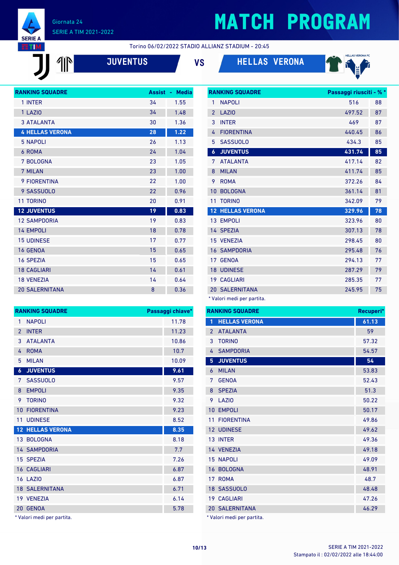

 $\mathbb{P}$ 

## **MATCH PROGRAM**

**RANKING SQUADRE Passaggi riusciti - % \***

Torino 06/02/2022 STADIO ALLIANZ STADIUM - 20:45

| <b>JUVENTUS</b> | ٧S | <b>HELLAS VERONA</b> |
|-----------------|----|----------------------|
|                 |    |                      |





| <b>RANKING SQUADRE</b> | <b>Assist</b> | <b>Media</b><br>٠ |
|------------------------|---------------|-------------------|
| 1 INTER                | 34            | 1.55              |
| 1 LAZIO                | 34            | 1.48              |
| <b>3 ATALANTA</b>      | 30            | 1.36              |
| <b>4 HELLAS VERONA</b> | 28            | 1.22              |
| <b>5 NAPOLI</b>        | 26            | 1.13              |
| 6 ROMA                 | 24            | 1.04              |
| 7 BOLOGNA              | 23            | 1.05              |
| 7 MILAN                | 23            | 1.00              |
| <b>9 FIORENTINA</b>    | 22            | 1.00              |
| 9 SASSUOLO             | 22            | 0.96              |
| <b>11 TORINO</b>       | 20            | 0.91              |
| <b>12 JUVENTUS</b>     | 19            | 0.83              |
| <b>12 SAMPDORIA</b>    | 19            | 0.83              |
| <b>14 EMPOLI</b>       | 18            | 0.78              |
| <b>15 UDINESE</b>      | 17            | 0.77              |
| <b>16 GENOA</b>        | 15            | 0.65              |
| <b>16 SPEZIA</b>       | 15            | 0.65              |
| <b>18 CAGLIARI</b>     | 14            | 0.61              |
| <b>18 VENEZIA</b>      | 14            | 0.64              |
| <b>20 SALERNITANA</b>  | 8             | 0.36              |

| 1                | <b>NAPOLI</b>        | 516    | 88 |
|------------------|----------------------|--------|----|
| $\overline{2}$   | LAZIO                | 497.52 | 87 |
| 3                | <b>INTER</b>         | 469    | 87 |
| 4                | <b>FIORENTINA</b>    | 440.45 | 86 |
| 5                | <b>SASSUOLO</b>      | 434.3  | 85 |
| $\boldsymbol{6}$ | <b>JUVENTUS</b>      | 431.74 | 85 |
| 7                | <b>ATALANTA</b>      | 417.14 | 82 |
| 8                | <b>MILAN</b>         | 411.74 | 85 |
| 9                | <b>ROMA</b>          | 372.26 | 84 |
| 10               | <b>BOLOGNA</b>       | 361.14 | 81 |
| 11               | <b>TORINO</b>        | 342.09 | 79 |
| 12 <sup>2</sup>  | <b>HELLAS VERONA</b> | 329.96 | 78 |
|                  | 13 EMPOLI            | 323.96 | 80 |
|                  | 14 SPEZIA            | 307.13 | 78 |
|                  | 15 VENEZIA           | 298.45 | 80 |
|                  | <b>16 SAMPDORIA</b>  | 295.48 | 76 |
| 17 <sup>2</sup>  | <b>GENOA</b>         | 294.13 | 77 |
| 18 <sup>°</sup>  | <b>UDINESE</b>       | 287.29 | 79 |
|                  | <b>19 CAGLIARI</b>   | 285.35 | 77 |
|                  | 20 SALERNITANA       | 245.95 | 75 |
|                  |                      |        |    |

\* Valori medi per partita.

|                | <b>RANKING SQUADRE</b> | Recuperi* |
|----------------|------------------------|-----------|
| 1              | <b>HELLAS VERONA</b>   | 61.13     |
| $\overline{2}$ | <b>ATALANTA</b>        | 59        |
| 3              | <b>TORINO</b>          | 57.32     |
| 4              | <b>SAMPDORIA</b>       | 54.57     |
| 5              | <b>JUVENTUS</b>        | 54        |
| 6              | <b>MILAN</b>           | 53.83     |
| 7              | <b>GENOA</b>           | 52.43     |
| 8              | <b>SPEZIA</b>          | 51.3      |
| 9              | <b>LA710</b>           | 50.22     |
| 10             | <b>EMPOLI</b>          | 50.17     |
| 11             | <b>FIORENTINA</b>      | 49.86     |
|                | 12 UDINESE             | 49.62     |
| 13             | <b>INTER</b>           | 49.36     |
|                | 14 VENEZIA             | 49.18     |
| 15             | <b>NAPOLI</b>          | 49.09     |
| 16             | <b>BOLOGNA</b>         | 48.91     |
| 17             | <b>ROMA</b>            | 48.7      |
| 18             | <b>SASSUOLO</b>        | 48.48     |
| 19             | <b>CAGLIARI</b>        | 47.26     |
| 20             | <b>SALERNITANA</b>     | 46.29     |

\* Valori medi per partita.

|                | <b>RANKING SQUADRE</b>  | Passaggi chiave* |
|----------------|-------------------------|------------------|
| 1              | <b>NAPOLI</b>           | 11.78            |
| $\overline{2}$ | <b>INTER</b>            | 11.23            |
| 3              | <b>ATALANTA</b>         | 10.86            |
| 4              | <b>ROMA</b>             | 10.7             |
| 5              | <b>MILAN</b>            | 10.09            |
| 6              | <b>JUVENTUS</b>         | 9.61             |
| 7              | <b>SASSUOLO</b>         | 9.57             |
| 8              | <b>EMPOLI</b>           | 9.35             |
| 9              | <b>TORINO</b>           | 9.32             |
| 10             | <b>FIORENTINA</b>       | 9.23             |
| 11             | <b>UDINESE</b>          | 8.52             |
|                | <b>12 HELLAS VERONA</b> | 8.35             |
|                | 13 BOLOGNA              | 8.18             |
|                | <b>14 SAMPDORIA</b>     | 7.7              |
|                | 15 SPEZIA               | 7.26             |
|                | <b>16 CAGLIARI</b>      | 6.87             |
|                | 16 LAZIO                | 6.87             |
|                | <b>18 SALERNITANA</b>   | 6.71             |
|                | 19 VENEZIA              | 6.14             |
| 20             | <b>GENOA</b>            | 5.78             |
|                |                         |                  |

\* Valori medi per partita.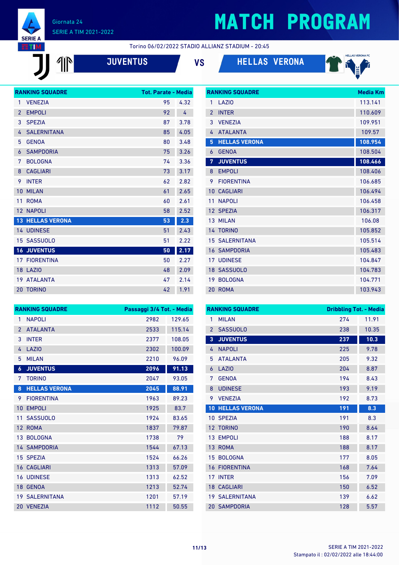

 $\sqrt{\mathbb{P}}$ 

# **MATCH PROGRAM**

**RANKING SQUADRE Media Km** 

Torino 06/02/2022 STADIO ALLIANZ STADIUM - 20:45

**JUVENTUS VS HELLAS VERONA**



|                 | <b>RANKING SQUADRE</b> | <b>Tot. Parate - Media</b> |      |
|-----------------|------------------------|----------------------------|------|
| 1               | <b>VENEZIA</b>         | 95                         | 4.32 |
| $\overline{2}$  | <b>EMPOLI</b>          | 92                         | 4    |
| 3               | <b>SPEZIA</b>          | 87                         | 3.78 |
| 4               | <b>SALERNITANA</b>     | 85                         | 4.05 |
| 5               | <b>GENOA</b>           | 80                         | 3.48 |
| 6               | <b>SAMPDORIA</b>       | 75                         | 3.26 |
| 7               | <b>BOLOGNA</b>         | 74                         | 3.36 |
| 8               | <b>CAGLIARI</b>        | 73                         | 3.17 |
| 9               | <b>INTER</b>           | 62                         | 2.82 |
| 10              | <b>MILAN</b>           | 61                         | 2.65 |
| 11              | <b>ROMA</b>            | 60                         | 2.61 |
| 12 <sup>°</sup> | <b>NAPOLI</b>          | 58                         | 2.52 |
| 13 <sup>°</sup> | <b>HELLAS VERONA</b>   | 53                         | 2.3  |
|                 | <b>14 UDINESE</b>      | 51                         | 2.43 |
|                 | 15 SASSUOLO            | 51                         | 2.22 |
|                 | <b>16 JUVENTUS</b>     | 50                         | 2.17 |
|                 | <b>17 FIORENTINA</b>   | 50                         | 2.27 |
|                 | 18 LAZIO               | 48                         | 2.09 |
|                 | 19 ATALANTA            | 47                         | 2.14 |
|                 | <b>20 TORINO</b>       | 42                         | 1.91 |

| 1              | LAZIO                 | 113.141 |
|----------------|-----------------------|---------|
| $\mathfrak{p}$ | <b>INTER</b>          | 110.609 |
| 3              | <b>VENEZIA</b>        | 109.951 |
| 4              | <b>ATALANTA</b>       | 109.57  |
| 5              | <b>HELLAS VERONA</b>  | 108.954 |
| 6              | <b>GENOA</b>          | 108.504 |
| 7              | <b>JUVENTUS</b>       | 108.466 |
| 8              | <b>EMPOLI</b>         | 108.406 |
| 9              | <b>FIORENTINA</b>     | 106.685 |
| 10             | <b>CAGLIARI</b>       | 106.494 |
| 11             | <b>NAPOLI</b>         | 106.458 |
|                | 12 SPEZIA             | 106.317 |
|                | 13 MILAN              | 106.08  |
|                | 14 TORINO             | 105.852 |
|                | <b>15 SALERNITANA</b> | 105.514 |
|                | <b>16 SAMPDORIA</b>   | 105.483 |
|                | <b>17 UDINESE</b>     | 104.847 |
|                | 18 SASSUOLO           | 104.783 |
| 19             | <b>BOLOGNA</b>        | 104.771 |
| 20             | <b>ROMA</b>           | 103.943 |

|                 | <b>RANKING SQUADRE</b> | Passaggi 3/4 Tot. - Media |        |
|-----------------|------------------------|---------------------------|--------|
| 1               | <b>NAPOLI</b>          | 2982                      | 129.65 |
| $\overline{2}$  | <b>ATALANTA</b>        | 2533                      | 115.14 |
| 3               | <b>INTER</b>           | 2377                      | 108.05 |
| 4               | LAZI <sub>0</sub>      | 2302                      | 100.09 |
| 5               | <b>MILAN</b>           | 2210                      | 96.09  |
| 6               | <b>JUVENTUS</b>        | 2096                      | 91.13  |
| 7               | <b>TORINO</b>          | 2047                      | 93.05  |
| 8               | <b>HELLAS VERONA</b>   | 2045                      | 88.91  |
| 9               | <b>FIORENTINA</b>      | 1963                      | 89.23  |
| 10              | <b>EMPOLI</b>          | 1925                      | 83.7   |
| 11              | <b>SASSUOLO</b>        | 1924                      | 83.65  |
| 12 <sup>°</sup> | <b>ROMA</b>            | 1837                      | 79.87  |
|                 | 13 BOLOGNA             | 1738                      | 79     |
|                 | <b>14 SAMPDORIA</b>    | 1544                      | 67.13  |
|                 | 15 SPEZIA              | 1524                      | 66.26  |
|                 | <b>16 CAGLIARI</b>     | 1313                      | 57.09  |
|                 | <b>16 UDINESE</b>      | 1313                      | 62.52  |
|                 | 18 GENOA               | 1213                      | 52.74  |
|                 | <b>19 SALERNITANA</b>  | 1201                      | 57.19  |
|                 | 20 VENEZIA             | 1112                      | 50.55  |

|                | <b>RANKING SQUADRE</b> | <b>Dribbling Tot. - Media</b> |       |
|----------------|------------------------|-------------------------------|-------|
| 1              | <b>MILAN</b>           | 274                           | 11.91 |
| $\overline{2}$ | <b>SASSUOLO</b>        | 238                           | 10.35 |
| $\overline{3}$ | <b>JUVENTUS</b>        | 237                           | 10.3  |
| 4              | <b>NAPOLI</b>          | 225                           | 9.78  |
| 5              | <b>ATALANTA</b>        | 205                           | 9.32  |
| 6              | LAZI <sub>0</sub>      | 204                           | 8.87  |
| 7              | <b>GENOA</b>           | 194                           | 8.43  |
| 8              | <b>UDINESE</b>         | 193                           | 9.19  |
| 9              | <b>VENEZIA</b>         | 192                           | 8.73  |
| 10             | <b>HELLAS VERONA</b>   | 191                           | 8.3   |
| 10             | <b>SPEZIA</b>          | 191                           | 8.3   |
| 12             | <b>TORINO</b>          | 190                           | 8.64  |
| 13             | <b>EMPOLI</b>          | 188                           | 8.17  |
| 13             | <b>ROMA</b>            | 188                           | 8.17  |
| 15             | <b>BOLOGNA</b>         | 177                           | 8.05  |
| 16             | <b>FIORENTINA</b>      | 168                           | 7.64  |
| 17             | <b>INTER</b>           | 156                           | 7.09  |
|                | <b>18 CAGLIARI</b>     | 150                           | 6.52  |
| 19             | <b>SALERNITANA</b>     | 139                           | 6.62  |
|                | <b>20 SAMPDORIA</b>    | 128                           | 5.57  |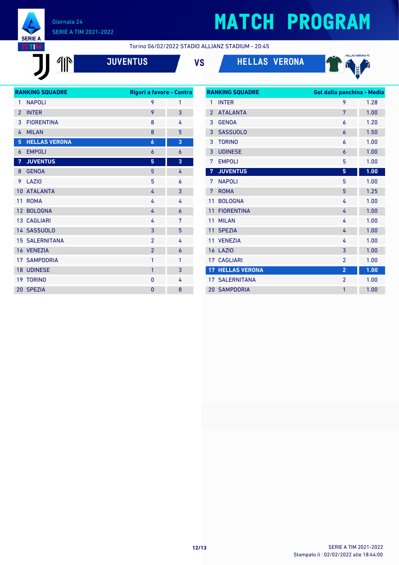

JJ 1M

#### Giornata 24 SERIE A TIM 2021-2022

## **MATCH PROGRAM**

Torino 06/02/2022 STADIO ALLIANZ STADIUM - 20:45

**JUVENTUS VS HELLAS VERONA**







|                | <b>RANKING SQUADRE</b> | Rigori a favore - Contro |   |
|----------------|------------------------|--------------------------|---|
| 1              | <b>NAPOLI</b>          | 9                        | 1 |
| $\overline{2}$ | <b>INTER</b>           | 9                        | 3 |
| 3              | <b>FIORENTINA</b>      | 8                        | 4 |
| 4              | <b>MILAN</b>           | 8                        | 5 |
| 5              | <b>HELLAS VERONA</b>   | $\boldsymbol{6}$         | 3 |
| 6              | <b>EMPOLI</b>          | $\overline{6}$           | 6 |
| 7              | <b>JUVENTUS</b>        | 5                        | 3 |
| 8              | <b>GENOA</b>           | 5                        | 4 |
| 9              | LAZI <sub>0</sub>      | 5                        | 6 |
| 10             | <b>ATALANTA</b>        | 4                        | 3 |
| 11             | <b>ROMA</b>            | 4                        | 4 |
| 12             | <b>BOLOGNA</b>         | 4                        | 6 |
|                | 13 CAGLIARI            | 4                        | 7 |
|                | 14 SASSUOLO            | 3                        | 5 |
|                | <b>15 SALERNITANA</b>  | $\overline{2}$           | 4 |
|                | 16 VENEZIA             | $\overline{2}$           | 6 |
|                | <b>17 SAMPDORIA</b>    | 1                        | 1 |
|                | <b>18 UDINESE</b>      | 1                        | 3 |
|                | 19 TORINO              | 0                        | 4 |
|                | 20 SPEZIA              | 0                        | 8 |
|                |                        |                          |   |

| <b>RANKING SQUADRE</b> |                       | Gol dalla panchina - Media |      |
|------------------------|-----------------------|----------------------------|------|
| 1                      | <b>INTER</b>          | 9                          | 1.28 |
| $\overline{2}$         | <b>ATALANTA</b>       | 7                          | 1.00 |
| 3                      | <b>GENOA</b>          | 6                          | 1.20 |
| 3                      | <b>SASSUOLO</b>       | 6                          | 1.50 |
| 3                      | <b>TORINO</b>         | 6                          | 1.00 |
| 3                      | <b>UDINESE</b>        | 6                          | 1.00 |
| 7                      | <b>EMPOLI</b>         | 5                          | 1.00 |
| 7                      | <b>JUVENTUS</b>       | 5                          | 1.00 |
| 7                      | <b>NAPOLI</b>         | 5                          | 1.00 |
| 7                      | <b>ROMA</b>           | 5                          | 1.25 |
| 11                     | <b>BOLOGNA</b>        | 4                          | 1.00 |
| 11                     | <b>FIORENTINA</b>     | 4                          | 1.00 |
| 11                     | <b>MILAN</b>          | 4                          | 1.00 |
| 11                     | <b>SPEZIA</b>         | 4                          | 1.00 |
| 11                     | <b>VENEZIA</b>        | 4                          | 1.00 |
| 16                     | LAZIO                 | 3                          | 1.00 |
| 17 <sup>2</sup>        | <b>CAGLIARI</b>       | $\overline{2}$             | 1.00 |
| 17 <sup>2</sup>        | <b>HELLAS VERONA</b>  | $\overline{2}$             | 1.00 |
|                        | <b>17 SALERNITANA</b> | $\overline{2}$             | 1.00 |
| 20                     | <b>SAMPDORIA</b>      | 1                          | 1.00 |